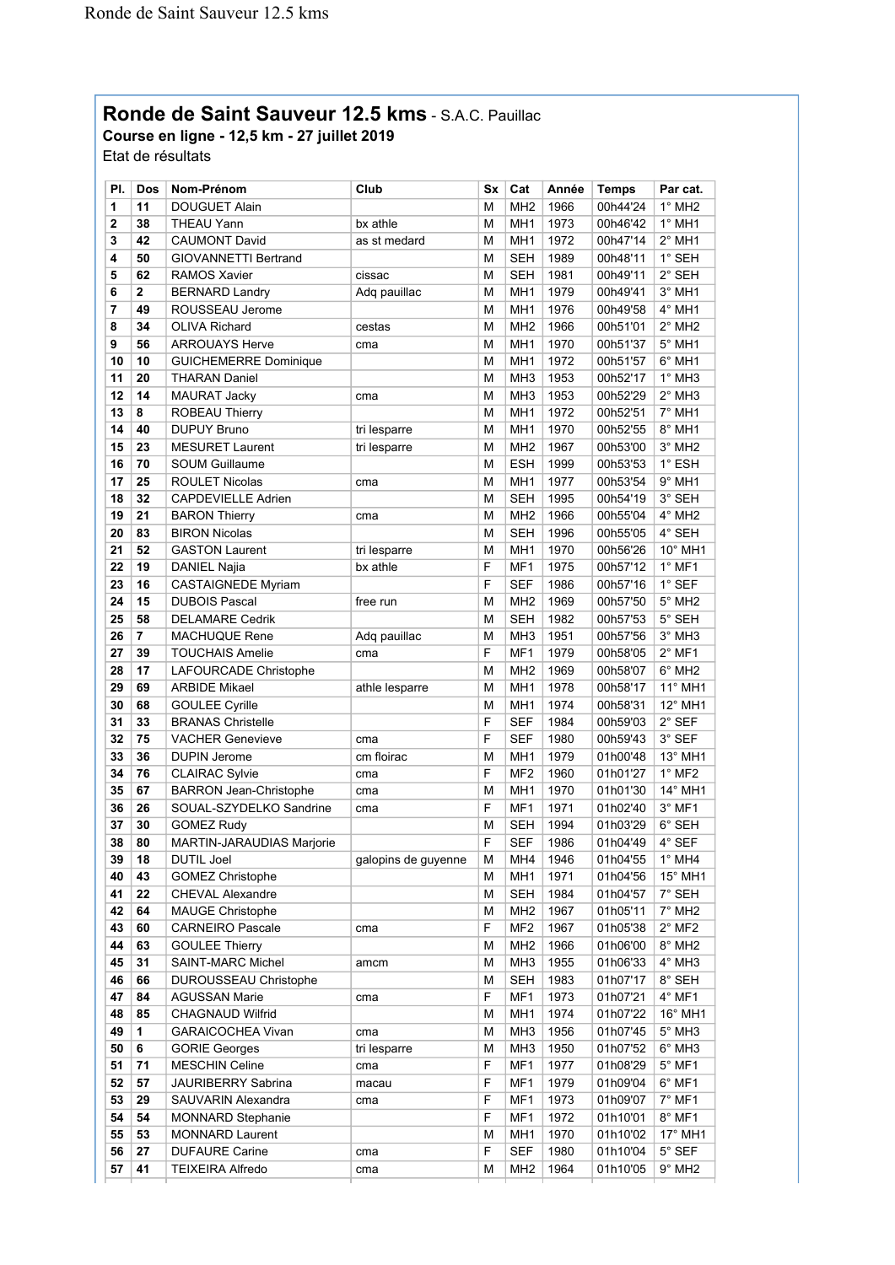## **Ronde de Saint Sauveur 12.5 kms** - S.A.C. Pauillac

## **Course en ligne - 12,5 km - 27 juillet 2019** Etat de résultats

| PI.      | Dos | Nom-Prénom                    | Club                | Sx | Cat             | Année | <b>Temps</b> | Par cat.                    |
|----------|-----|-------------------------------|---------------------|----|-----------------|-------|--------------|-----------------------------|
| 1        | 11  | <b>DOUGUET Alain</b>          |                     | М  | MH <sub>2</sub> | 1966  | 00h44'24     | $1^\circ$ MH <sub>2</sub>   |
| 2        | 38  | THEAU Yann                    | bx athle            | М  | MH <sub>1</sub> | 1973  | 00h46'42     | $1^\circ$ MH1               |
| 3        | 42  | <b>CAUMONT David</b>          | as st medard        | М  | MH <sub>1</sub> | 1972  | 00h47'14     | $2^{\circ}$ MH1             |
| 4        | 50  | GIOVANNETTI Bertrand          |                     | М  | SEH             | 1989  | 00h48'11     | 1° SEH                      |
| 5        | 62  | <b>RAMOS Xavier</b>           | cissac              | М  | SEH             | 1981  | 00h49'11     | 2° SEH                      |
| 6        | 2   | <b>BERNARD Landry</b>         | Adq pauillac        | М  | MH1             | 1979  | 00h49'41     | $3°$ MH1                    |
| 7        | 49  | ROUSSEAU Jerome               |                     | М  | MH1             | 1976  | 00h49'58     | 4° MH1                      |
| 8        | 34  | <b>OLIVA Richard</b>          | cestas              | М  | MH <sub>2</sub> | 1966  | 00h51'01     | $2^{\circ}$ MH <sub>2</sub> |
| 9        | 56  | <b>ARROUAYS Herve</b>         | cma                 | М  | MH <sub>1</sub> | 1970  | 00h51'37     | $5^\circ$ MH1               |
| 10       | 10  | <b>GUICHEMERRE Dominique</b>  |                     | М  | MH <sub>1</sub> | 1972  | 00h51'57     | $6^\circ$ MH1               |
| 11       | 20  | THARAN Daniel                 |                     | М  | MH <sub>3</sub> | 1953  | 00h52'17     | $1^\circ$ MH3               |
| 12       | 14  | MAURAT Jacky                  | cma                 | Μ  | MH <sub>3</sub> | 1953  | 00h52'29     | $2^{\circ}$ MH3             |
| 13       | 8   | ROBEAU Thierry                |                     | М  | MH <sub>1</sub> | 1972  | 00h52'51     | 7° MH1                      |
| 14       | 40  | <b>DUPUY Bruno</b>            | tri lesparre        | М  | MH <sub>1</sub> | 1970  | 00h52'55     | 8° MH1                      |
| 15       | 23  | <b>MESURET Laurent</b>        | tri lesparre        | Μ  | MH <sub>2</sub> | 1967  | 00h53'00     | 3° MH <sub>2</sub>          |
| 16       | 70  | <b>SOUM Guillaume</b>         |                     | м  | <b>ESH</b>      | 1999  | 00h53'53     | 1° ESH                      |
| 17       | 25  | ROULET Nicolas                | cma                 | М  | MH <sub>1</sub> | 1977  | 00h53'54     | $9°$ MH1                    |
| 18       | 32  | CAPDEVIELLE Adrien            |                     | М  | <b>SEH</b>      | 1995  | 00h54'19     | 3° SEH                      |
| 19       | 21  | <b>BARON Thierry</b>          | cma                 | М  | MH <sub>2</sub> | 1966  | 00h55'04     | 4° MH <sub>2</sub>          |
| 20       | 83  | <b>BIRON Nicolas</b>          |                     | Μ  | SEH             | 1996  | 00h55'05     | 4° SEH                      |
| 21       | 52  | <b>GASTON Laurent</b>         | tri lesparre        | М  | MH <sub>1</sub> | 1970  | 00h56'26     | 10° MH1                     |
| 22       | 19  |                               | bx athle            | F  | MF1             | 1975  | 00h57'12     | $1^\circ$ MF1               |
|          |     | DANIEL Najia                  |                     | F  |                 |       |              | $1^\circ$ SEF               |
| 23<br>24 | 16  | <b>CASTAIGNEDE Myriam</b>     |                     |    | SEF             | 1986  | 00h57'16     | $5^\circ$ MH <sub>2</sub>   |
|          | 15  | <b>DUBOIS Pascal</b>          | free run            | М  | MH <sub>2</sub> | 1969  | 00h57'50     | 5° SEH                      |
| 25       | 58  | <b>DELAMARE Cedrik</b>        |                     | М  | <b>SEH</b>      | 1982  | 00h57'53     |                             |
| 26       | 7   | <b>MACHUQUE Rene</b>          | Adq pauillac        | Μ  | MH <sub>3</sub> | 1951  | 00h57'56     | $3°$ MH <sub>3</sub>        |
| 27       | 39  | <b>TOUCHAIS Amelie</b>        | cma                 | F  | MF1             | 1979  | 00h58'05     | $2^{\circ}$ MF1             |
| 28       | 17  | LAFOURCADE Christophe         |                     | М  | MH <sub>2</sub> | 1969  | 00h58'07     | $6^\circ$ MH <sub>2</sub>   |
| 29       | 69  | <b>ARBIDE Mikael</b>          | athle lesparre      | М  | MH <sub>1</sub> | 1978  | 00h58'17     | 11° MH1                     |
| 30       | 68  | <b>GOULEE Cyrille</b>         |                     | М  | MH <sub>1</sub> | 1974  | 00h58'31     | 12° MH1                     |
| 31       | 33  | <b>BRANAS Christelle</b>      |                     | F  | SEF             | 1984  | 00h59'03     | 2° SEF                      |
| 32       | 75  | <b>VACHER Genevieve</b>       | cma                 | F  | SEF             | 1980  | 00h59'43     | 3° SEF                      |
| 33       | 36  | DUPIN Jerome                  | cm floirac          | М  | MH <sub>1</sub> | 1979  | 01h00'48     | 13° MH1                     |
| 34       | 76  | <b>CLAIRAC Sylvie</b>         | cma                 | F  | MF <sub>2</sub> | 1960  | 01h01'27     | $1^\circ$ MF2               |
| 35       | 67  | <b>BARRON Jean-Christophe</b> | cma                 | М  | MH <sub>1</sub> | 1970  | 01h01'30     | 14° MH1                     |
| 36       | 26  | SOUAL-SZYDELKO Sandrine       | cma                 | F  | MF1             | 1971  | 01h02'40     | $3°$ MF1                    |
| 37       | 30  | <b>GOMEZ Rudy</b>             |                     | М  | <b>SEH</b>      | 1994  | 01h03'29     | 6° SEH                      |
| 38       | 80  | MARTIN-JARAUDIAS Marjorie     |                     | F  | SEF             | 1986  | 01h04'49     | 4° SEF                      |
| 39       | 18  | DUTIL Joel                    | galopins de guyenne | M  | MH4             | 1946  | 01h04'55     | $1^\circ$ MH4               |
| 40       | 43  | <b>GOMEZ Christophe</b>       |                     | Μ  | MH1             | 1971  | 01h04'56     | 15° MH1                     |
| 41       | 22  | <b>CHEVAL Alexandre</b>       |                     | Μ  | <b>SEH</b>      | 1984  | 01h04'57     | 7° SEH                      |
| 42       | 64  | <b>MAUGE Christophe</b>       |                     | Μ  | MH <sub>2</sub> | 1967  | 01h05'11     | $7^\circ$ MH2               |
| 43       | 60  | <b>CARNEIRO Pascale</b>       | cma                 | F  | MF <sub>2</sub> | 1967  | 01h05'38     | $2^{\circ}$ MF2             |
| 44       | 63  | <b>GOULEE Thierry</b>         |                     | М  | MH <sub>2</sub> | 1966  | 01h06'00     | 8° MH <sub>2</sub>          |
| 45       | 31  | SAINT-MARC Michel             | amcm                | Μ  | MH <sub>3</sub> | 1955  | 01h06'33     | $4^\circ$ MH3               |
| 46       | 66  | <b>DUROUSSEAU Christophe</b>  |                     | Μ  | <b>SEH</b>      | 1983  | 01h07'17     | 8° SEH                      |
| 47       | 84  | <b>AGUSSAN Marie</b>          | cma                 | F  | MF1             | 1973  | 01h07'21     | $4^\circ$ MF1               |
| 48       | 85  | CHAGNAUD Wilfrid              |                     | Μ  | MH <sub>1</sub> | 1974  | 01h07'22     | 16° MH1                     |
| 49       | 1   | <b>GARAICOCHEA Vivan</b>      | cma                 | Μ  | MH <sub>3</sub> | 1956  | 01h07'45     | $5^\circ$ MH3               |
| 50       | 6   | <b>GORIE Georges</b>          | tri lesparre        | Μ  | MH <sub>3</sub> | 1950  | 01h07'52     | $6^\circ$ MH3               |
| 51       | 71  | <b>MESCHIN Celine</b>         | cma                 | F  | MF1             | 1977  | 01h08'29     | $5^\circ$ MF1               |
| 52       | 57  | JAURIBERRY Sabrina            | macau               | F  | MF1             | 1979  | 01h09'04     | $6^{\circ}$ MF1             |
| 53       | 29  | SAUVARIN Alexandra            | cma                 | F  | MF1             | 1973  | 01h09'07     | $7^\circ$ MF1               |
| 54       | 54  | <b>MONNARD Stephanie</b>      |                     | F  | MF1             | 1972  | 01h10'01     | $8^\circ$ MF1               |
| 55       | 53  | <b>MONNARD Laurent</b>        |                     | М  | MH <sub>1</sub> | 1970  | 01h10'02     | 17° MH1                     |
| 56       | 27  | <b>DUFAURE Carine</b>         | cma                 | F  | <b>SEF</b>      | 1980  | 01h10'04     | $5^\circ$ SEF               |
| 57       | 41  | <b>TEIXEIRA Alfredo</b>       | cma                 | Μ  | MH <sub>2</sub> | 1964  | 01h10'05     | $9^\circ$ MH <sub>2</sub>   |